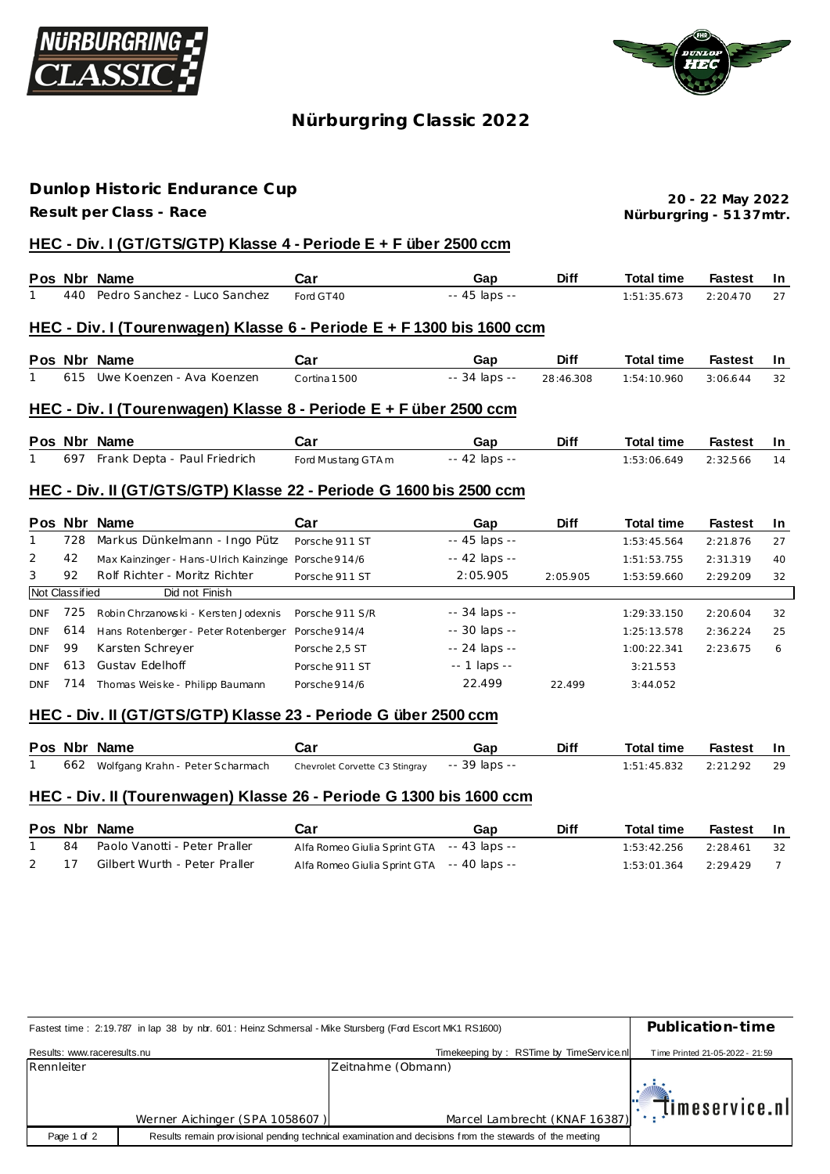



## **Nürburgring C lassic 2022**

## **Dunlop Historic Endurance Cup**

**Result per Class - Race**

**Nürburgring - 51 37mtr. 20 - 22 May 2022**

#### **HEC - Div. I (GT/GTS/GTP) Klasse 4 - Periode E + F über 2500 ccm**

|  | Pos Nbr Name                     | Car       | <b>Diff</b><br>Gap | <b>Total time</b>        | <b>Fastest</b> |  |
|--|----------------------------------|-----------|--------------------|--------------------------|----------------|--|
|  | 440 Pedro Sanchez - Luco Sanchez | Ford GT40 | -- 45 laps --      | $1:51:35.673$ $2:20.470$ |                |  |

#### **HEC - Div. I (Tourenwagen) Klasse 6 - Periode E + F 1300 bis 1600 ccm**

|  | Pos Nbr Name                  | Car          | Gap           | <b>Diff</b> | <b>Total time</b> | Fastest In |    |
|--|-------------------------------|--------------|---------------|-------------|-------------------|------------|----|
|  | 615 Uwe Koenzen - Ava Koenzen | Cortina 1500 | -- 34 laps -- | 28:46.308   | 1:54:10.960       | 3:06.644   | 32 |

#### **HEC - Div. I (Tourenwagen) Klasse 8 - Periode E + F über 2500 ccm**

|  | Pos Nbr Name                     | Car                | Gap           | <b>Diff</b> | <b>Total time</b>    | Fastest In |    |
|--|----------------------------------|--------------------|---------------|-------------|----------------------|------------|----|
|  | 697 Frank Depta - Paul Friedrich | Ford Mustang GTA m | -- 42 laps -- |             | 1:53:06.649 2:32.566 |            | 14 |

#### **HEC - Div. II (GT/GTS/GTP) Klasse 22 - Periode G 1600 bis 2500 ccm**

|                | Pos Nbr | Name                                                 | Car             | Gap                | <b>Diff</b> | <b>Total time</b> | <b>Fastest</b> | In. |
|----------------|---------|------------------------------------------------------|-----------------|--------------------|-------------|-------------------|----------------|-----|
|                | 728     | Markus Dünkelmann - Ingo Pütz                        | Porsche 911 ST  | $-45$ laps $-$     |             | 1:53:45.564       | 2:21.876       | 27  |
| 2              | 42      | Max Kainzinger - Hans-Ulrich Kainzinge Porsche 914/6 |                 | -- 42 laps --      |             | 1:51:53.755       | 2:31.319       | 40  |
| 3              | 92      | Rolf Richter - Moritz Richter                        | Porsche 911 ST  | 2:05.905           | 2:05.905    | 1:53:59.660       | 2:29.209       | 32  |
| Not Classified |         | Did not Finish                                       |                 |                    |             |                   |                |     |
| <b>DNF</b>     | 725     | Robin Chrzanowski - Kersten Jodexnis                 | Porsche 911 S/R | -- 34 laps --      |             | 1:29:33.150       | 2:20.604       | 32  |
| <b>DNF</b>     | 614     | Hans Rotenberger - Peter Rotenberger Porsche 914/4   |                 | $-30$ laps $-$     |             | 1:25:13.578       | 2:36.224       | 25  |
| <b>DNF</b>     | 99      | Karsten Schreyer                                     | Porsche 2.5 ST  | -- 24 laps --      |             | 1:00:22.341       | 2:23.675       | 6   |
| <b>DNF</b>     | 613     | Gustav Edelhoff                                      | Porsche 911 ST  | $- - 1$ laps $- -$ |             | 3:21.553          |                |     |
| <b>DNF</b>     | 714     | Thomas Weiske - Philipp Baumann                      | Porsche 914/6   | 22.499             | 22.499      | 3:44.052          |                |     |

#### **HEC - Div. II (GT/GTS/GTP) Klasse 23 - Periode G über 2500 ccm**

|  | Pos Nbr Name                         | Car                                          | Gap | <b>Diff</b> | <b>Total time</b>        | Fastest In |      |
|--|--------------------------------------|----------------------------------------------|-----|-------------|--------------------------|------------|------|
|  | 662 Wolfgang Krahn - Peter Scharmach | Chevrolet Corvette C3 Stingray -- 39 laps -- |     |             | $1:51:45.832$ $2:21.292$ |            | - 29 |

#### **HEC - Div. II (Tourenwagen) Klasse 26 - Periode G 1300 bis 1600 ccm**

|      |    | Pos Nbr Name                  | Car                                        | Gap | Diff | <b>Total time</b>        | Fastest In |      |
|------|----|-------------------------------|--------------------------------------------|-----|------|--------------------------|------------|------|
|      | 84 | Paolo Vanotti - Peter Praller | Alfa Romeo Giulia Sprint GTA -- 43 laps -- |     |      | 1:53:42.256              | 2:28.461   | - 32 |
| 2 17 |    | Gilbert Wurth - Peter Praller | Alfa Romeo Giulia Sprint GTA -- 40 laps -- |     |      | $1:53:01.364$ $2:29.429$ |            |      |

| Fastest time: 2:19.787 in lap 38 by nbr. 601: Heinz Schmersal - Mike Stursberg (Ford Escort MK1 RS1600) | Publication-time               |                                          |                                 |
|---------------------------------------------------------------------------------------------------------|--------------------------------|------------------------------------------|---------------------------------|
| Results: www.raceresults.nu                                                                             |                                | Timekeeping by: RSTime by TimeService.nl | Time Printed 21-05-2022 - 21:59 |
| Rennleiter                                                                                              |                                | Zeitnahme (Obmann)                       |                                 |
|                                                                                                         | Werner Aichinger (SPA 1058607) |                                          |                                 |
| Page 1 of 2                                                                                             |                                |                                          |                                 |